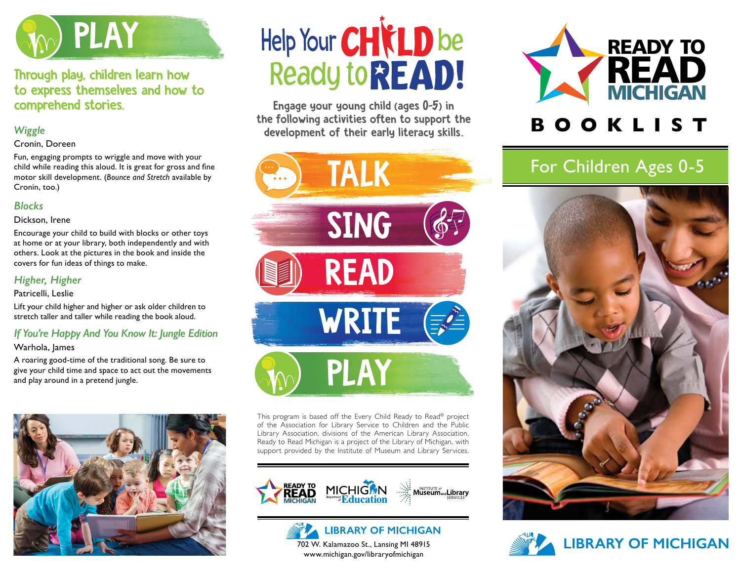

# Through play, children learn how to express themselves and how to comprehend stories.

# *Wiggle*

#### Cronin, Doreen

Fun, engaging prompts to wriggle and move with your child while reading this aloud. It is great for gross and fine motor skill development. (*Bounce and Stretch* available by Cronin, too.)

#### *Blocks*

#### Dickson, Irene

Encourage your child to build with blocks or other toys at home or at your library, both independently and with others. Look at the pictures in the book and inside the covers for fun ideas of things to make.

# *Higher, Higher*

#### Patricelli, Leslie

Lift your child higher and higher or ask older children to stretch taller and taller while reading the book aloud.

# *If You're Happy And You Know It: Jungle Edition*

#### Warhola, James

A roaring good-time of the traditional song. Be sure to give your child time and space to act out the movements and play around in a pretend jungle.



# Help Your CHICLD be **Ready to READ!**

Engage your young child (ages 0-5) in the following activities often to support the development of their early literacy skills.



This program is based off the Every Child Ready to Read® project of the Association for Library Service to Children and the Public Library Association, divisions of the American Library Association. Ready to Read Michigan is a project of the Library of Michigan, with support provided by the Institute of Museum and Library Services.







# **B O O K L I S T**

# For Children Ages 0-5